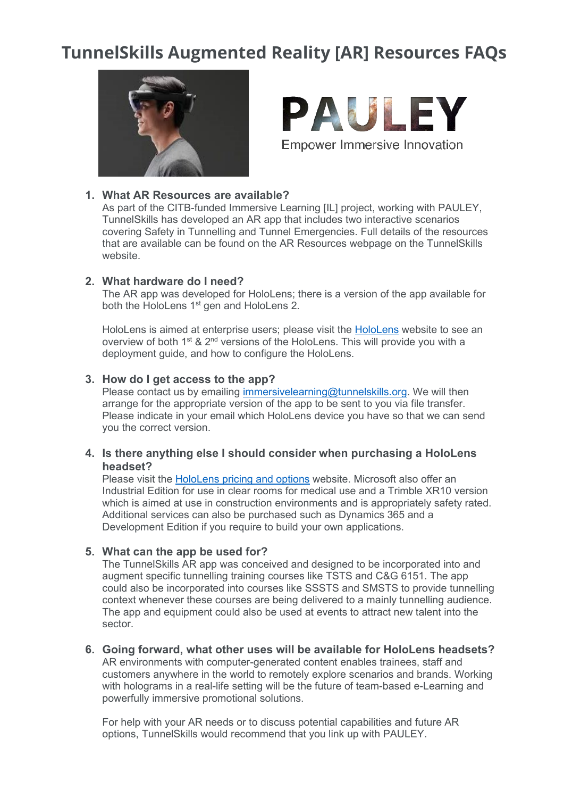# **TunnelSkills Augmented Reality [AR] Resources FAQs**





# **1. What AR Resources are available?**

As part of the CITB-funded Immersive Learning [IL] project, working with PAULEY, TunnelSkills has developed an AR app that includes two interactive scenarios covering Safety in Tunnelling and Tunnel Emergencies. Full details of the resources that are available can be found on the AR Resources webpage on the TunnelSkills website.

#### **2. What hardware do I need?**

The AR app was developed for HoloLens; there is a version of the app available for both the HoloLens 1<sup>st</sup> gen and HoloLens 2.

HoloLens is aimed at enterprise users; please visit the [HoloLens](https://docs.microsoft.com/en-us/hololens/) website to see an overview of both 1<sup>st</sup> & 2<sup>nd</sup> versions of the HoloLens. This will provide you with a deployment guide, and how to configure the HoloLens.

#### **3. How do I get access to the app?**

Please contact us by emailing [immersivelearning@tunnelskills.org.](mailto:immersivelearning@tunnelskills.org) We will then arrange for the appropriate version of the app to be sent to you via file transfer. Please indicate in your email which HoloLens device you have so that we can send you the correct version.

## **4. Is there anything else I should consider when purchasing a HoloLens headset?**

Please visit the [HoloLens pricing and options](https://www.microsoft.com/en-gb/hololens/buy) website. Microsoft also offer an Industrial Edition for use in clear rooms for medical use and a Trimble XR10 version which is aimed at use in construction environments and is appropriately safety rated. Additional services can also be purchased such as Dynamics 365 and a Development Edition if you require to build your own applications.

## **5. What can the app be used for?**

The TunnelSkills AR app was conceived and designed to be incorporated into and augment specific tunnelling training courses like TSTS and C&G 6151. The app could also be incorporated into courses like SSSTS and SMSTS to provide tunnelling context whenever these courses are being delivered to a mainly tunnelling audience. The app and equipment could also be used at events to attract new talent into the sector.

**6. Going forward, what other uses will be available for HoloLens headsets?** AR environments with computer-generated content enables trainees, staff and customers anywhere in the world to remotely explore scenarios and brands. Working with holograms in a real-life setting will be the future of team-based e-Learning and powerfully immersive promotional solutions.

For help with your AR needs or to discuss potential capabilities and future AR options, TunnelSkills would recommend that you link up with PAULEY.